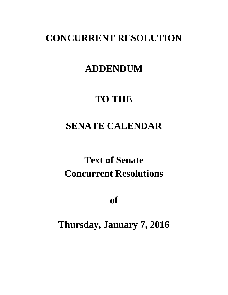## **CONCURRENT RESOLUTION**

### **ADDENDUM**

### **TO THE**

# **SENATE CALENDAR**

# **Text of Senate Concurrent Resolutions**

**of**

**Thursday, January 7, 2016**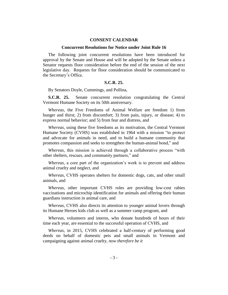#### **CONSENT CALENDAR**

#### **Concurrent Resolutions for Notice under Joint Rule 16**

The following joint concurrent resolutions have been introduced for approval by the Senate and House and will be adopted by the Senate unless a Senator requests floor consideration before the end of the session of the next legislative day. Requests for floor consideration should be communicated to the Secretary's Office.

#### **S.C.R. 25.**

By Senators Doyle, Cummings, and Pollina,

**S.C.R. 25.** Senate concurrent resolution congratulating the Central Vermont Humane Society on its 50th anniversary.

*Whereas*, the Five Freedoms of Animal Welfare are freedom 1) from hunger and thirst; 2) from discomfort; 3) from pain, injury, or disease; 4) to express normal behavior; and 5) from fear and distress, and

*Whereas*, using these five freedoms as its motivation, the Central Vermont Humane Society (CVHS) was established in 1964 with a mission "to protect and advocate for animals in need, and to build a humane community that promotes compassion and seeks to strengthen the human-animal bond," and

*Whereas*, this mission is achieved through a collaborative process "with other shelters, rescues, and community partners," and

*Whereas*, a core part of the organization's work is to prevent and address animal cruelty and neglect, and

*Whereas*, CVHS operates shelters for domestic dogs, cats, and other small animals, and

*Whereas*, other important CVHS roles are providing low-cost rabies vaccinations and microchip identification for animals and offering their human guardians instruction in animal care, and

*Whereas*, CVHS also directs its attention to younger animal lovers through its Humane Heroes kids club as well as a summer camp program, and

*Whereas*, volunteers and interns, who donate hundreds of hours of their time each year, are essential to the successful operation of CVHS, and

*Whereas*, in 2015, CVHS celebrated a half-century of performing good deeds on behalf of domestic pets and small animals in Vermont and campaigning against animal cruelty, *now therefore be it*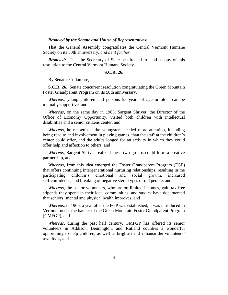#### *Resolved by the Senate and House of Representatives:*

That the General Assembly congratulates the Central Vermont Humane Society on its 50th anniversary, *and be it further*

*Resolved:* That the Secretary of State be directed to send a copy of this resolution to the Central Vermont Humane Society.

#### **S.C.R. 26.**

By Senator Collamore,

**S.C.R. 26.** Senate concurrent resolution congratulating the Green Mountain Foster Grandparent Program on its 50th anniversary.

*Whereas*, young children and persons 55 years of age or older can be mutually supportive, and

*Whereas*, on the same day in 1965, Sargent Shriver, the Director of the Office of Economy Opportunity, visited both children with intellectual disabilities and a senior citizens center, and

*Whereas*, he recognized the youngsters needed more attention, including being read to and involvement in playing games, than the staff at the children's center could offer, and the adults longed for an activity in which they could offer help and affection to others, and

*Whereas*, Sargent Shriver realized these two groups could form a creative partnership, and

*Whereas*, from this idea emerged the Foster Grandparent Program (FGP) that offers continuing intergenerational nurturing relationships, resulting in the participating children's emotional and social growth, increased self-confidence, and breaking of negative stereotypes of old people, and

*Whereas*, the senior volunteers, who are on limited incomes, gain tax-free stipends they spend in their local communities, and studies have documented that seniors' mental and physical health improves, and

*Wherea*s, in 1966, a year after the FGP was established, it was introduced in Vermont under the banner of the Green Mountain Foster Grandparent Program (GMFGP), and

*Whereas*, during the past half century, GMFGP has offered its senior volunteers in Addison, Bennington, and Rutland counties a wonderful opportunity to help children, as well as brighten and enhance the volunteers' own lives, and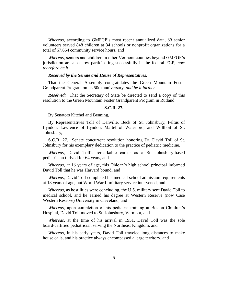*Whereas*, according to GMFGP's most recent annualized data, 69 senior volunteers served 848 children at 34 schools or nonprofit organizations for a total of 67,664 community service hours, and

*Whereas*, seniors and children in other Vermont counties beyond GMFGP's jurisdiction are also now participating successfully in the federal FGP, *now therefore be it* 

#### *Resolved by the Senate and House of Representatives:*

That the General Assembly congratulates the Green Mountain Foster Grandparent Program on its 50th anniversary, *and be it further*

*Resolved:* That the Secretary of State be directed to send a copy of this resolution to the Green Mountain Foster Grandparent Program in Rutland.

#### **S.C.R. 27.**

By Senators Kitchel and Benning,

By Representatives Toll of Danville, Beck of St. Johnsbury, Feltus of Lyndon, Lawrence of Lyndon, Martel of Waterford, and Willhoit of St. Johnsbury,

**S.C.R. 27.** Senate concurrent resolution honoring Dr. David Toll of St. Johnsbury for his exemplary dedication to the practice of pediatric medicine.

*Whereas*, David Toll's remarkable career as a St. Johnsbury-based pediatrician thrived for 64 years, and

*Whereas*, at 16 years of age, this Ohioan's high school principal informed David Toll that he was Harvard bound, and

*Whereas*, David Toll completed his medical school admission requirements at 18 years of age, but World War II military service intervened, and

*Whereas*, as hostilities were concluding, the U.S. military sent David Toll to medical school, and he earned his degree at Western Reserve (now Case Western Reserve) University in Cleveland, and

*Whereas*, upon completion of his pediatric training at Boston Children's Hospital, David Toll moved to St. Johnsbury, Vermont, and

*Whereas*, at the time of his arrival in 1951, David Toll was the sole board-certified pediatrician serving the Northeast Kingdom, and

*Whereas*, in his early years, David Toll traveled long distances to make house calls, and his practice always encompassed a large territory, and